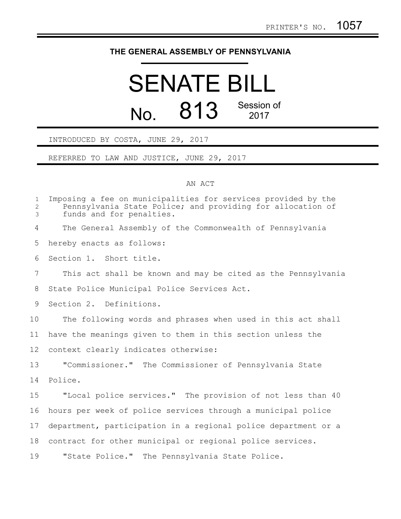## **THE GENERAL ASSEMBLY OF PENNSYLVANIA**

## SENATE BILL No. 813 Session of 2017

INTRODUCED BY COSTA, JUNE 29, 2017

REFERRED TO LAW AND JUSTICE, JUNE 29, 2017

## AN ACT

| $\mathbf 1$<br>$\overline{2}$<br>3 | Imposing a fee on municipalities for services provided by the<br>Pennsylvania State Police; and providing for allocation of<br>funds and for penalties. |
|------------------------------------|---------------------------------------------------------------------------------------------------------------------------------------------------------|
| 4                                  | The General Assembly of the Commonwealth of Pennsylvania                                                                                                |
| 5                                  | hereby enacts as follows:                                                                                                                               |
| 6                                  | Section 1. Short title.                                                                                                                                 |
| 7                                  | This act shall be known and may be cited as the Pennsylvania                                                                                            |
| 8                                  | State Police Municipal Police Services Act.                                                                                                             |
| 9                                  | Section 2. Definitions.                                                                                                                                 |
| 10                                 | The following words and phrases when used in this act shall                                                                                             |
| 11                                 | have the meanings given to them in this section unless the                                                                                              |
| 12                                 | context clearly indicates otherwise:                                                                                                                    |
| 13                                 | "Commissioner." The Commissioner of Pennsylvania State                                                                                                  |
| 14                                 | Police.                                                                                                                                                 |
| 15                                 | "Local police services." The provision of not less than 40                                                                                              |
| 16                                 | hours per week of police services through a municipal police                                                                                            |
| 17                                 | department, participation in a regional police department or a                                                                                          |
| 18                                 | contract for other municipal or regional police services.                                                                                               |
| 19                                 | "State Police." The Pennsylvania State Police.                                                                                                          |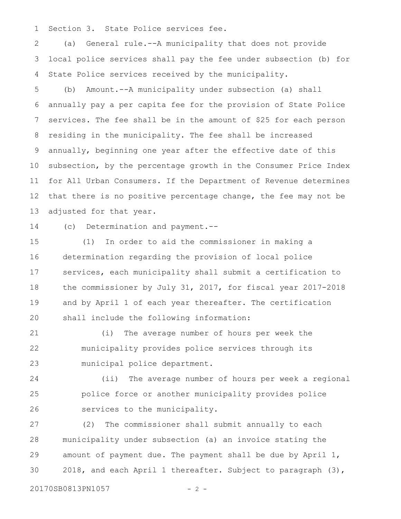Section 3. State Police services fee. 1

(a) General rule.--A municipality that does not provide local police services shall pay the fee under subsection (b) for State Police services received by the municipality. 2 3 4

(b) Amount.--A municipality under subsection (a) shall annually pay a per capita fee for the provision of State Police services. The fee shall be in the amount of \$25 for each person residing in the municipality. The fee shall be increased annually, beginning one year after the effective date of this subsection, by the percentage growth in the Consumer Price Index for All Urban Consumers. If the Department of Revenue determines that there is no positive percentage change, the fee may not be adjusted for that year. 5 6 7 8 9 10 11 12 13

14

(c) Determination and payment.--

(1) In order to aid the commissioner in making a determination regarding the provision of local police services, each municipality shall submit a certification to the commissioner by July 31, 2017, for fiscal year 2017-2018 and by April 1 of each year thereafter. The certification shall include the following information: 15 16 17 18 19 20

(i) The average number of hours per week the municipality provides police services through its municipal police department. 21 22 23

(ii) The average number of hours per week a regional police force or another municipality provides police services to the municipality. 24 25 26

(2) The commissioner shall submit annually to each municipality under subsection (a) an invoice stating the amount of payment due. The payment shall be due by April 1, 2018, and each April 1 thereafter. Subject to paragraph (3), 27 28 29 30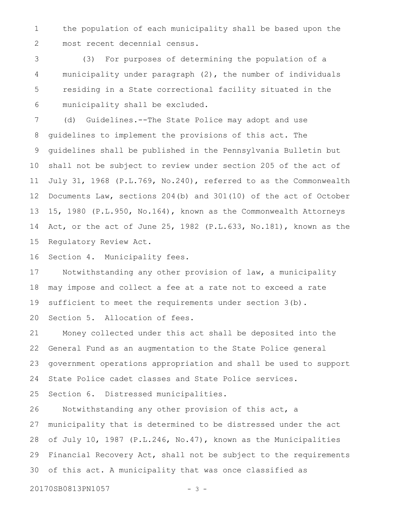the population of each municipality shall be based upon the most recent decennial census. 1 2

(3) For purposes of determining the population of a municipality under paragraph (2), the number of individuals residing in a State correctional facility situated in the municipality shall be excluded. 3 4 5 6

(d) Guidelines.--The State Police may adopt and use guidelines to implement the provisions of this act. The guidelines shall be published in the Pennsylvania Bulletin but shall not be subject to review under section 205 of the act of July 31, 1968 (P.L.769, No.240), referred to as the Commonwealth Documents Law, sections 204(b) and 301(10) of the act of October 15, 1980 (P.L.950, No.164), known as the Commonwealth Attorneys Act, or the act of June 25, 1982 (P.L.633, No.181), known as the Regulatory Review Act. 7 8 9 10 11 12 13 14 15

Section 4. Municipality fees. 16

Notwithstanding any other provision of law, a municipality may impose and collect a fee at a rate not to exceed a rate sufficient to meet the requirements under section 3(b). Section 5. Allocation of fees. 17 18 19 20

Money collected under this act shall be deposited into the General Fund as an augmentation to the State Police general government operations appropriation and shall be used to support State Police cadet classes and State Police services. 21 22 23 24

Section 6. Distressed municipalities. 25

Notwithstanding any other provision of this act, a municipality that is determined to be distressed under the act of July 10, 1987 (P.L.246, No.47), known as the Municipalities Financial Recovery Act, shall not be subject to the requirements of this act. A municipality that was once classified as 26 27 28 29 30

20170SB0813PN1057 - 3 -